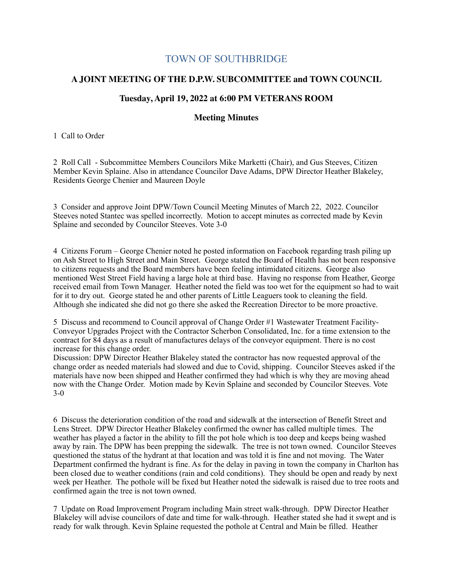## TOWN OF SOUTHBRIDGE

## **A JOINT MEETING OF THE D.P.W. SUBCOMMITTEE and TOWN COUNCIL**

## **Tuesday, April 19, 2022 at 6:00 PM VETERANS ROOM**

## **Meeting Minutes**

1 Call to Order

2 Roll Call - Subcommittee Members Councilors Mike Marketti (Chair), and Gus Steeves, Citizen Member Kevin Splaine. Also in attendance Councilor Dave Adams, DPW Director Heather Blakeley, Residents George Chenier and Maureen Doyle

3 Consider and approve Joint DPW/Town Council Meeting Minutes of March 22, 2022. Councilor Steeves noted Stantec was spelled incorrectly. Motion to accept minutes as corrected made by Kevin Splaine and seconded by Councilor Steeves. Vote 3-0

4 Citizens Forum – George Chenier noted he posted information on Facebook regarding trash piling up on Ash Street to High Street and Main Street. George stated the Board of Health has not been responsive to citizens requests and the Board members have been feeling intimidated citizens. George also mentioned West Street Field having a large hole at third base. Having no response from Heather, George received email from Town Manager. Heather noted the field was too wet for the equipment so had to wait for it to dry out. George stated he and other parents of Little Leaguers took to cleaning the field. Although she indicated she did not go there she asked the Recreation Director to be more proactive.

5 Discuss and recommend to Council approval of Change Order #1 Wastewater Treatment Facility-Conveyor Upgrades Project with the Contractor Scherbon Consolidated, Inc. for a time extension to the contract for 84 days as a result of manufactures delays of the conveyor equipment. There is no cost increase for this change order.

Discussion: DPW Director Heather Blakeley stated the contractor has now requested approval of the change order as needed materials had slowed and due to Covid, shipping. Councilor Steeves asked if the materials have now been shipped and Heather confirmed they had which is why they are moving ahead now with the Change Order. Motion made by Kevin Splaine and seconded by Councilor Steeves. Vote 3-0

6 Discuss the deterioration condition of the road and sidewalk at the intersection of Benefit Street and Lens Street. DPW Director Heather Blakeley confirmed the owner has called multiple times. The weather has played a factor in the ability to fill the pot hole which is too deep and keeps being washed away by rain. The DPW has been prepping the sidewalk. The tree is not town owned. Councilor Steeves questioned the status of the hydrant at that location and was told it is fine and not moving. The Water Department confirmed the hydrant is fine. As for the delay in paving in town the company in Charlton has been closed due to weather conditions (rain and cold conditions). They should be open and ready by next week per Heather. The pothole will be fixed but Heather noted the sidewalk is raised due to tree roots and confirmed again the tree is not town owned.

7 Update on Road Improvement Program including Main street walk-through. DPW Director Heather Blakeley will advise councilors of date and time for walk-through. Heather stated she had it swept and is ready for walk through. Kevin Splaine requested the pothole at Central and Main be filled. Heather